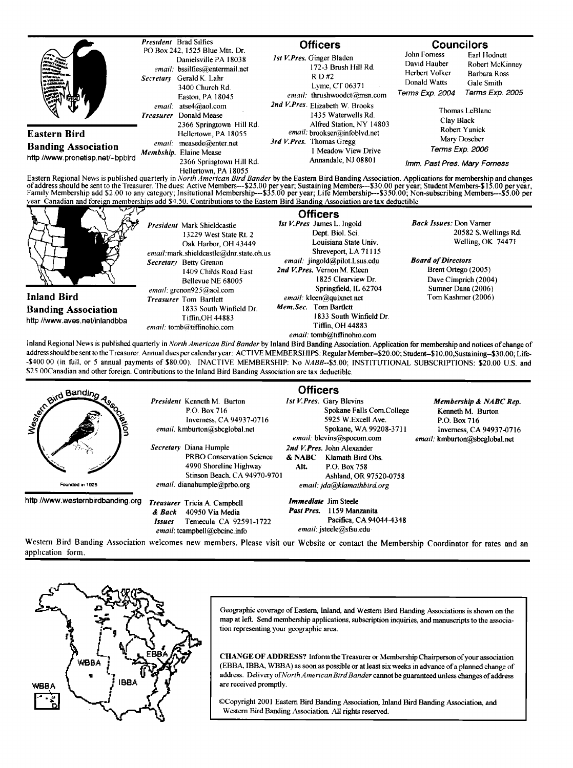|                                                                                                                                                                                                                                                                                                                                                                                                                                                                                                                                  | <b>President</b> Brad Silfies |                                                                                                                                                                                                                        | <b>Officers</b>                                                                                               |                                                                                    | <b>Councilors</b>                                                                 |                                                                                  |
|----------------------------------------------------------------------------------------------------------------------------------------------------------------------------------------------------------------------------------------------------------------------------------------------------------------------------------------------------------------------------------------------------------------------------------------------------------------------------------------------------------------------------------|-------------------------------|------------------------------------------------------------------------------------------------------------------------------------------------------------------------------------------------------------------------|---------------------------------------------------------------------------------------------------------------|------------------------------------------------------------------------------------|-----------------------------------------------------------------------------------|----------------------------------------------------------------------------------|
| ----                                                                                                                                                                                                                                                                                                                                                                                                                                                                                                                             | <b>Secretary</b>              | PO Box 242, 1525 Blue Mtn. Dr.<br>Danielsville PA 18038<br>email: bssilfies@entermail.net<br>Gerald K. Lahr<br>3400 Church Rd.<br>Easton, PA 18045<br>email: atse4@aol.com<br>Donald Mease<br>2366 Springtown Hill Rd. | 1st V. Pres. Ginger Bladen<br>172-3 Brush Hill Rd.<br>R D H2<br>Lyme, CT 06371<br>email: thrushwoodct@msn.com |                                                                                    | John Forness<br>David Hauber<br>Herbert Volker<br>Donald Watts<br>Terms Exp. 2004 | Earl Hodnett<br>Robert McKinney<br>Barbara Ross<br>Gale Smith<br>Terms Exp. 2005 |
|                                                                                                                                                                                                                                                                                                                                                                                                                                                                                                                                  | <b>Treasurer</b>              |                                                                                                                                                                                                                        |                                                                                                               | 2nd V.Pres. Elizabeth W. Brooks<br>1435 Waterwells Rd.<br>Alfred Station, NY 14803 | Thomas LeBlanc<br>Clay Black<br>Robert Yunick                                     |                                                                                  |
| <b>Eastern Bird</b><br><b>Banding Association</b><br>http //www.pronetisp.net/~bpbird                                                                                                                                                                                                                                                                                                                                                                                                                                            | email:                        | Hellertown, PA 18055                                                                                                                                                                                                   |                                                                                                               | email: brookser@infoblvd.net                                                       |                                                                                   |                                                                                  |
|                                                                                                                                                                                                                                                                                                                                                                                                                                                                                                                                  |                               | measede@enter.net<br>Membship. Elaine Mease                                                                                                                                                                            |                                                                                                               | 3rd V. Pres. Thomas Gregg<br><b>Meadow View Drive</b><br>Annandale, NJ 08801       | Mary Doscher<br>Terms Exp. 2006                                                   |                                                                                  |
|                                                                                                                                                                                                                                                                                                                                                                                                                                                                                                                                  |                               | 2366 Springtown Hill Rd.<br>Hellertown, PA 18055                                                                                                                                                                       |                                                                                                               |                                                                                    | Imm. Past Pres. Mary Forness                                                      |                                                                                  |
| Eastern Regional News is published quarterly in North American Bird Bander by the Eastern Bird Banding Association. Applications for membership and changes<br>of address should be sent to the Treasurer. The dues: Active Members---\$25.00 per year; Sustaining Members---\$30.00 per year; Student Members-\$15.00 per year; Fundent Members-\$15.00 per year; Life Members-Discovers and the<br>year Canadian and foreign memberships add \$4.50. Contributions to the Eastern Bird Banding Association are tax deductible. |                               |                                                                                                                                                                                                                        |                                                                                                               |                                                                                    |                                                                                   |                                                                                  |
|                                                                                                                                                                                                                                                                                                                                                                                                                                                                                                                                  |                               | <b>President Mark Shieldcastle</b><br>13229 West State Rt. 2                                                                                                                                                           |                                                                                                               | <b>Officers</b><br>1st V. Pres James L. Ingold<br>Dept. Biol. Sci.                 | <b>Back Issues:</b> Don Varner                                                    | 20582 S. Wellings Rd.                                                            |

**Inland Bird Banding Association http//www.aves.net/inlandbba 13229 West State Rt. 2 Oak Harbor, OH 43449**   $email$ : mark.shieldcastle@dnr.state.oh.us **Secretary** Betty Grenon **1409 Childs Road East Bellevue NE 68005 email: grenon925@aol.com Treasurer Tom Bartlett 1833 South Winfield Dr. Tiffin,OH 44883**   $email:$  tomb@tiffinohio.com **Dept. Biol. Sci. Louisiana State Univ. Shreveport, LA 71115**  email: jingold@pilot.Lsus.edu 2nd V. Pres. Vernon M. Kleen **1825 Clearview Dr. Springfield, IL 62704**  *email:* kleen@quixnet.net **Mem.Sec.** Tom Bartlett **1833 South Winfield Dr. Tiffin, OH 44883**   $email: tomb@tiffinohio.com$ **Welling, OK 74471 Board of Directors Brent Oftego (2005) Dave Cimprich (2004) Sumner Dana (2006) Tom Kashmer (2006)** 

Inland Regional News is published quarterly in North American Bird Bander by Inland Bird Banding Association. Application for membership and notices of change of **address should be sent to the Treasurer. Annual dues per calendar year: ACTIVE MEMBERSHIPS: Regular Member-S20.00; Student-\$10.00,Sustaining-S30.00; Life- -\$400 00 (in full, or 5 annual payments of \$80.00)• INACTIVE MEMBERSHIP: No NABB--\$5.00; INSTITUTIONAL SUBSCRIPTIONS: \$20.00 U.S. and \$25 00Canadian and other foreign. Contributions to the Inland Bird Banding Association are tax deductible.** 

|                                   | <b>Officers</b>                                                                                                      |                                                                                                                                     |                                                                                                                          |  |  |
|-----------------------------------|----------------------------------------------------------------------------------------------------------------------|-------------------------------------------------------------------------------------------------------------------------------------|--------------------------------------------------------------------------------------------------------------------------|--|--|
| olid Bandino<br>ciation           | <b>President</b> Kenneth M. Burton<br>P.O. Box 716<br>Inverness, CA 94937-0716<br>email: kmburton@sbcglobal.net      | 1st V. Pres. Gary Blevins<br>Spokane Falls Com.College<br>5925 W.Excell Ave.<br>Spokane, WA 99208-3711<br>email: blevins@spocom.com | Membership & NABC Rep.<br>Kenneth M. Burton<br>P.O. Box 716<br>Inverness, CA 94937-0716<br>email: kmburton@sbcglobal.net |  |  |
| الأبلاد والأكر                    | Secretary Diana Humple<br><b>PRBO Conservation Science</b><br>4990 Shoreline Highway<br>Stinson Beach, CA 94970-9701 | 2nd V.Pres. John Alexander<br>& NABC<br>Klamath Bird Obs.<br>P.O. Box 758<br>Alt.<br>Ashland, OR 97520-0758                         |                                                                                                                          |  |  |
| Founded in 1925                   | $email$ : dianahumple@prbo.org                                                                                       | email: jda@klamathbird.org                                                                                                          |                                                                                                                          |  |  |
| http //www.westernbirdbanding.org | <b>Treasurer</b> Tricia A. Campbell<br>& Back<br>40950 Via Media<br>Temecula CA 92591-1722<br>Issues                 | <i>Immediate</i> Jim Steele<br>1159 Manzanita<br><b>Past Pres.</b><br>Pacifica, CA 94044-4348                                       |                                                                                                                          |  |  |

**Western Bird Banding Association welcomes new members. Please visit our Website or contact the Membership Coordinator for rates and an**  application form.

email: tcampbell@cbcinc.info



Geographic coverage of Eastern, Inland, and Western Bird Banding Associations is shown on the **map at left. Send membership aplications, subscription inquiries, and manuscripts to the association representing your geographic area.** 

*email:* jsteele@stsu.edu

**CHANGE OF ADDRESS?** Inform the Treasurer or Membership Chairperson of your association (EBBA, IBBA, WBBA) as soon as possible or at least six weeks in advance of a planned change of **address. Delivery of North American Bird Bander cannot be guaranteed unless changes ofaddress are received promptly.** 

©Copyright 2001 Eastern Bird Banding Association, Inland Bird Banding Association, and **Western Bird Banding Association. All rights reserved.**